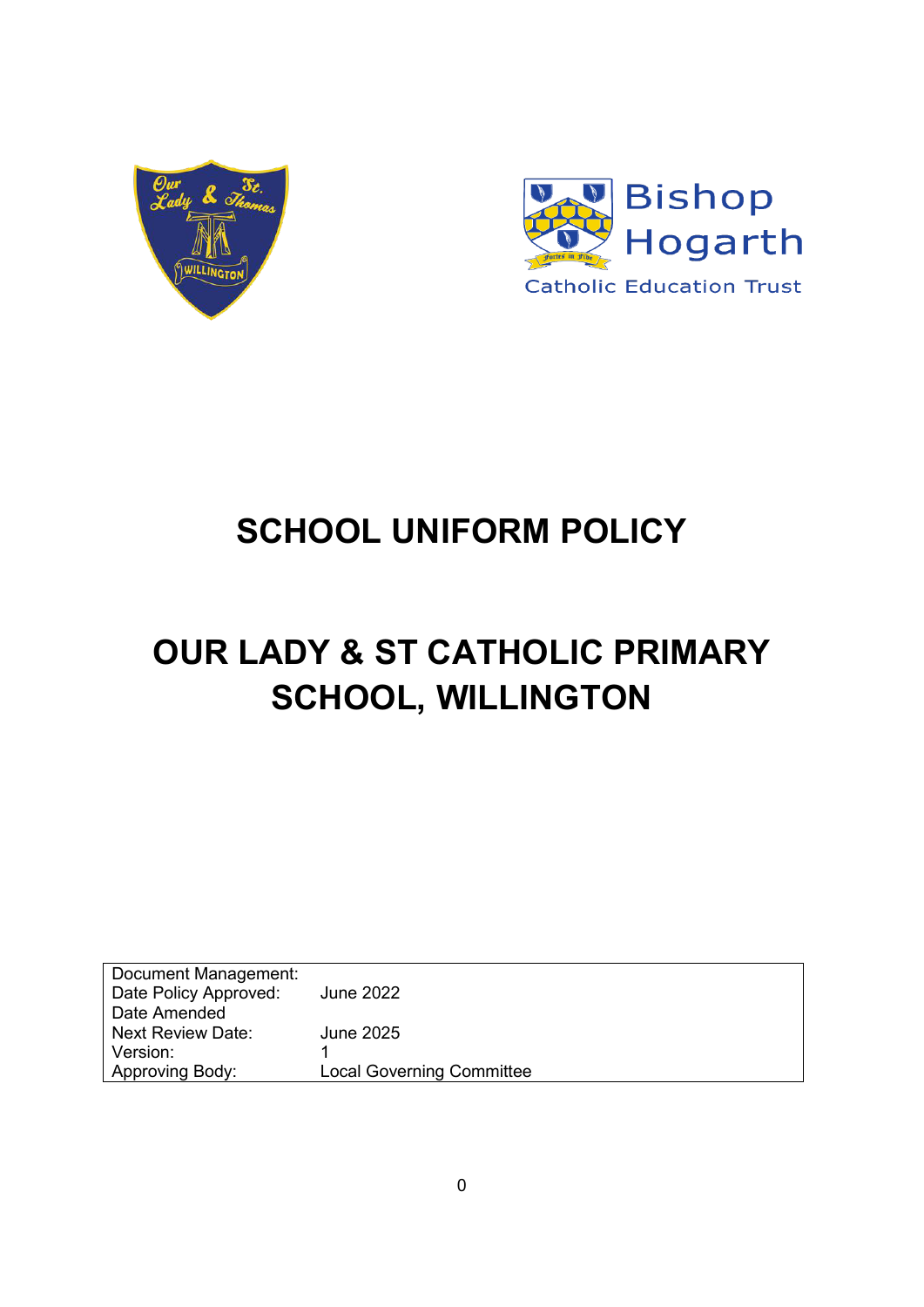



## **SCHOOL UNIFORM POLICY**

# **OUR LADY & ST CATHOLIC PRIMARY SCHOOL, WILLINGTON**

| Document Management:     |                                  |
|--------------------------|----------------------------------|
| Date Policy Approved:    | <b>June 2022</b>                 |
| Date Amended             |                                  |
| <b>Next Review Date:</b> | <b>June 2025</b>                 |
| Version:                 |                                  |
| Approving Body:          | <b>Local Governing Committee</b> |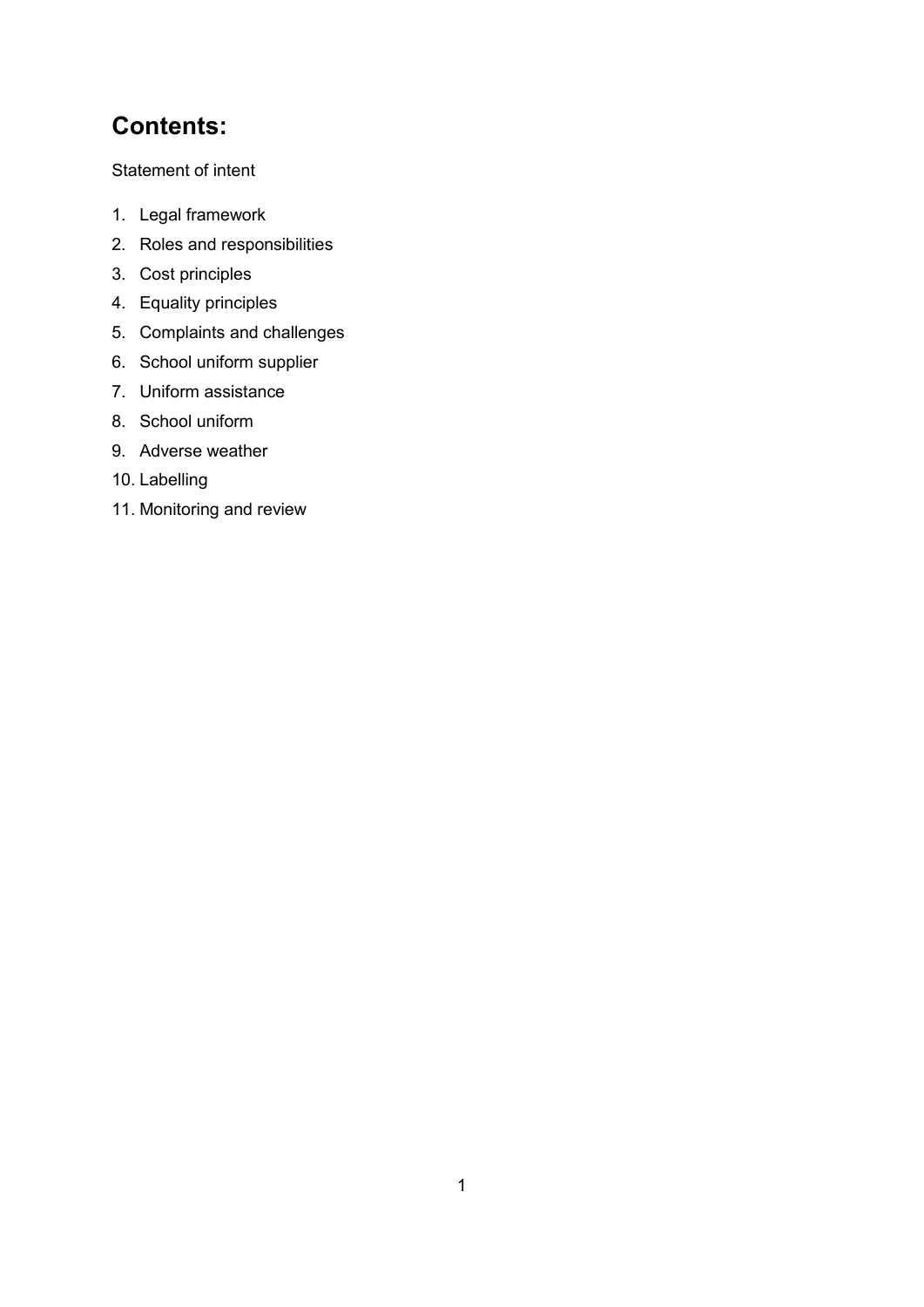### **Contents:**

Statement of intent

- 1. Legal framework
- 2. Roles and responsibilities
- 3. Cost principles
- 4. Equality principles
- 5. Complaints and challenges
- 6. School uniform supplier
- 7. Uniform assistance
- 8. School uniform
- 9. Adverse weather
- 10. Labelling
- 11. Monitoring and review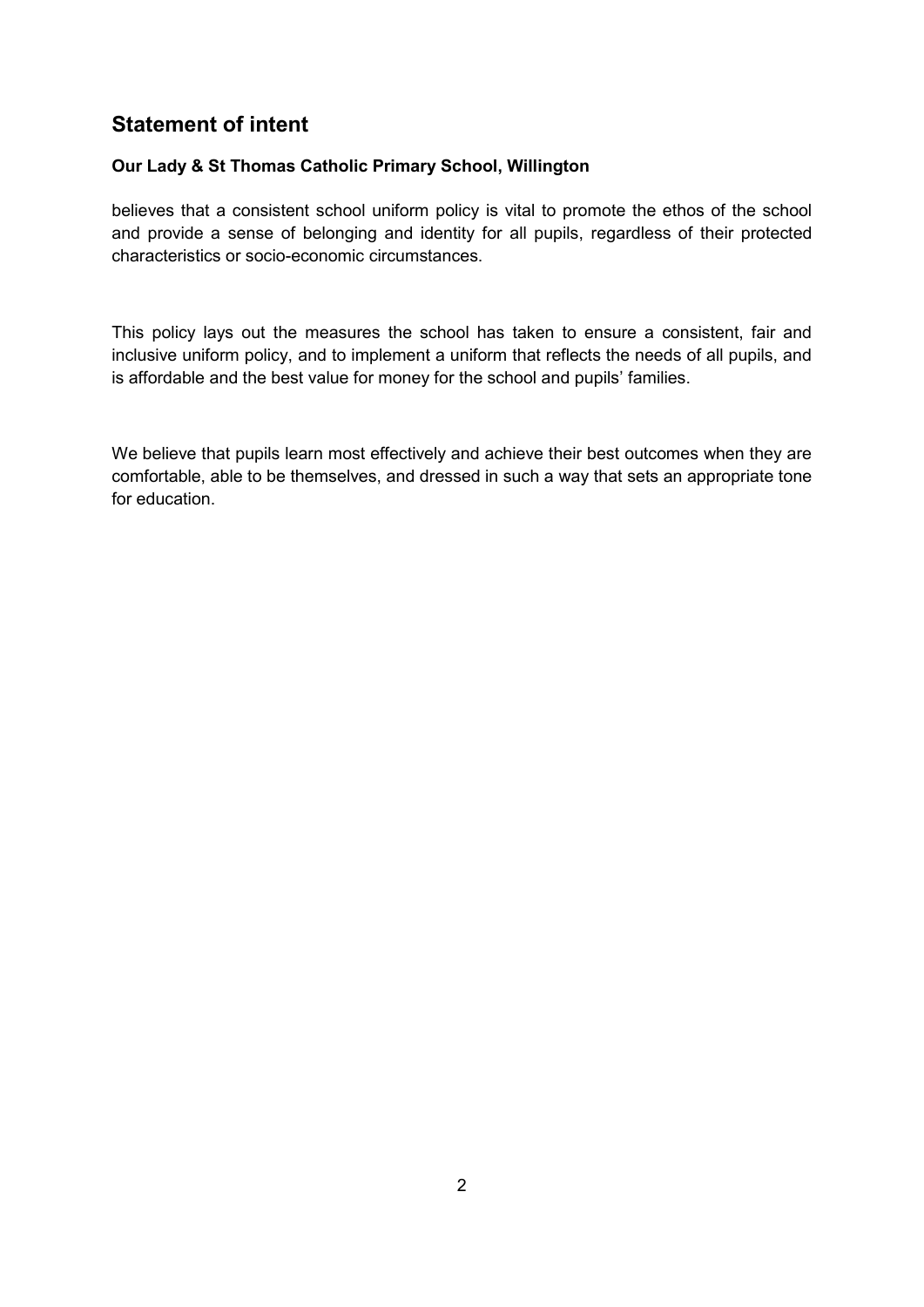### **Statement of intent**

#### **Our Lady & St Thomas Catholic Primary School, Willington**

believes that a consistent school uniform policy is vital to promote the ethos of the school and provide a sense of belonging and identity for all pupils, regardless of their protected characteristics or socio-economic circumstances.

This policy lays out the measures the school has taken to ensure a consistent, fair and inclusive uniform policy, and to implement a uniform that reflects the needs of all pupils, and is affordable and the best value for money for the school and pupils' families.

We believe that pupils learn most effectively and achieve their best outcomes when they are comfortable, able to be themselves, and dressed in such a way that sets an appropriate tone for education.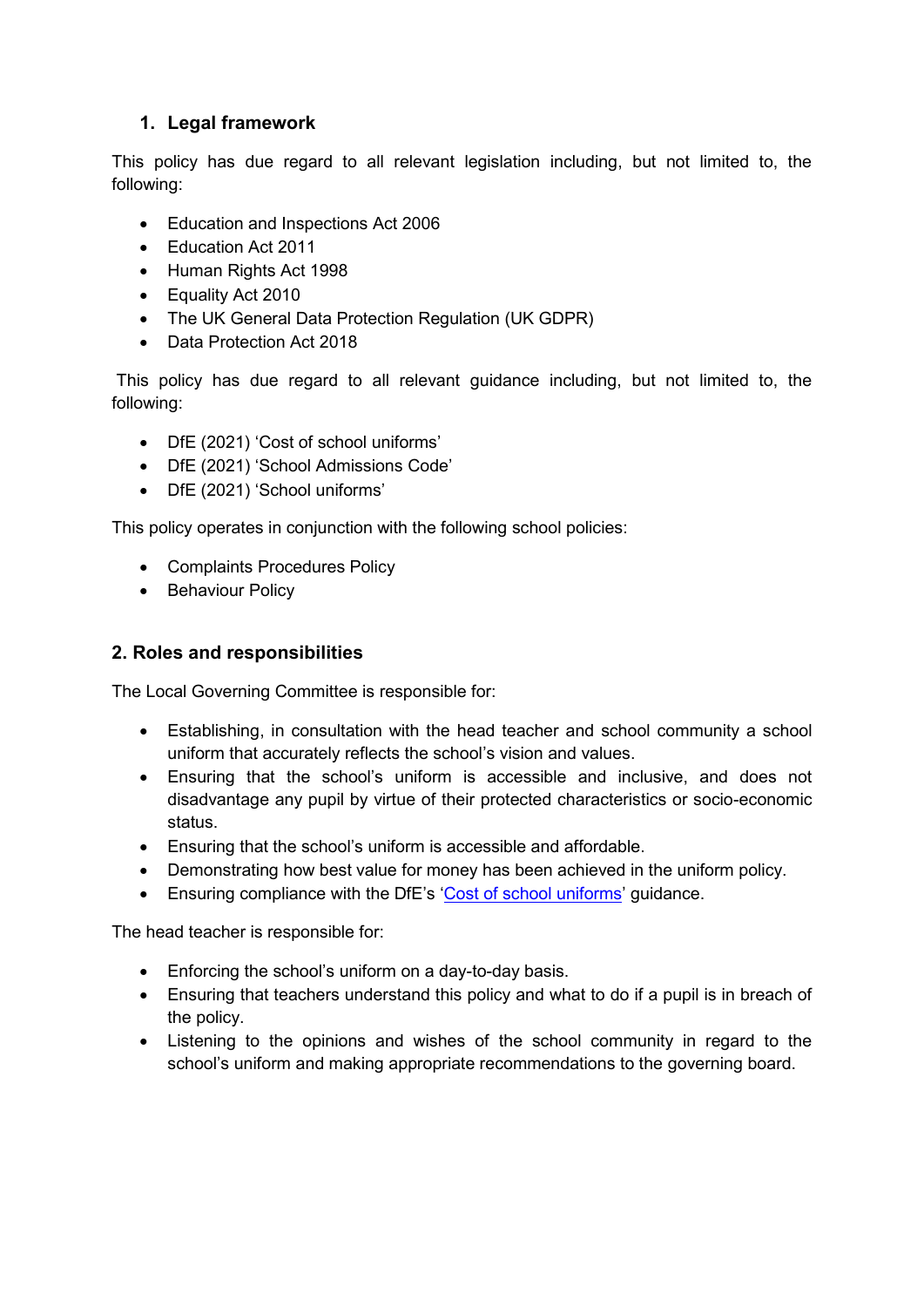#### **1. Legal framework**

This policy has due regard to all relevant legislation including, but not limited to, the following:

- Education and Inspections Act 2006
- Education Act 2011
- Human Rights Act 1998
- Equality Act 2010
- The UK General Data Protection Regulation (UK GDPR)
- Data Protection Act 2018

This policy has due regard to all relevant guidance including, but not limited to, the following:

- DfE (2021) 'Cost of school uniforms'
- DfE (2021) 'School Admissions Code'
- DfE (2021) 'School uniforms'

This policy operates in conjunction with the following school policies:

- Complaints Procedures Policy
- Behaviour Policy

#### **2. Roles and responsibilities**

The Local Governing Committee is responsible for:

- Establishing, in consultation with the head teacher and school community a school uniform that accurately reflects the school's vision and values.
- Ensuring that the school's uniform is accessible and inclusive, and does not disadvantage any pupil by virtue of their protected characteristics or socio-economic status.
- Ensuring that the school's uniform is accessible and affordable.
- Demonstrating how best value for money has been achieved in the uniform policy.
- Ensuring compliance with the DfE's '[Cost of school uniforms](https://www.gov.uk/government/publications/cost-of-school-uniforms/cost-of-school-uniforms)' guidance.

The head teacher is responsible for:

- Enforcing the school's uniform on a day-to-day basis.
- Ensuring that teachers understand this policy and what to do if a pupil is in breach of the policy.
- Listening to the opinions and wishes of the school community in regard to the school's uniform and making appropriate recommendations to the governing board.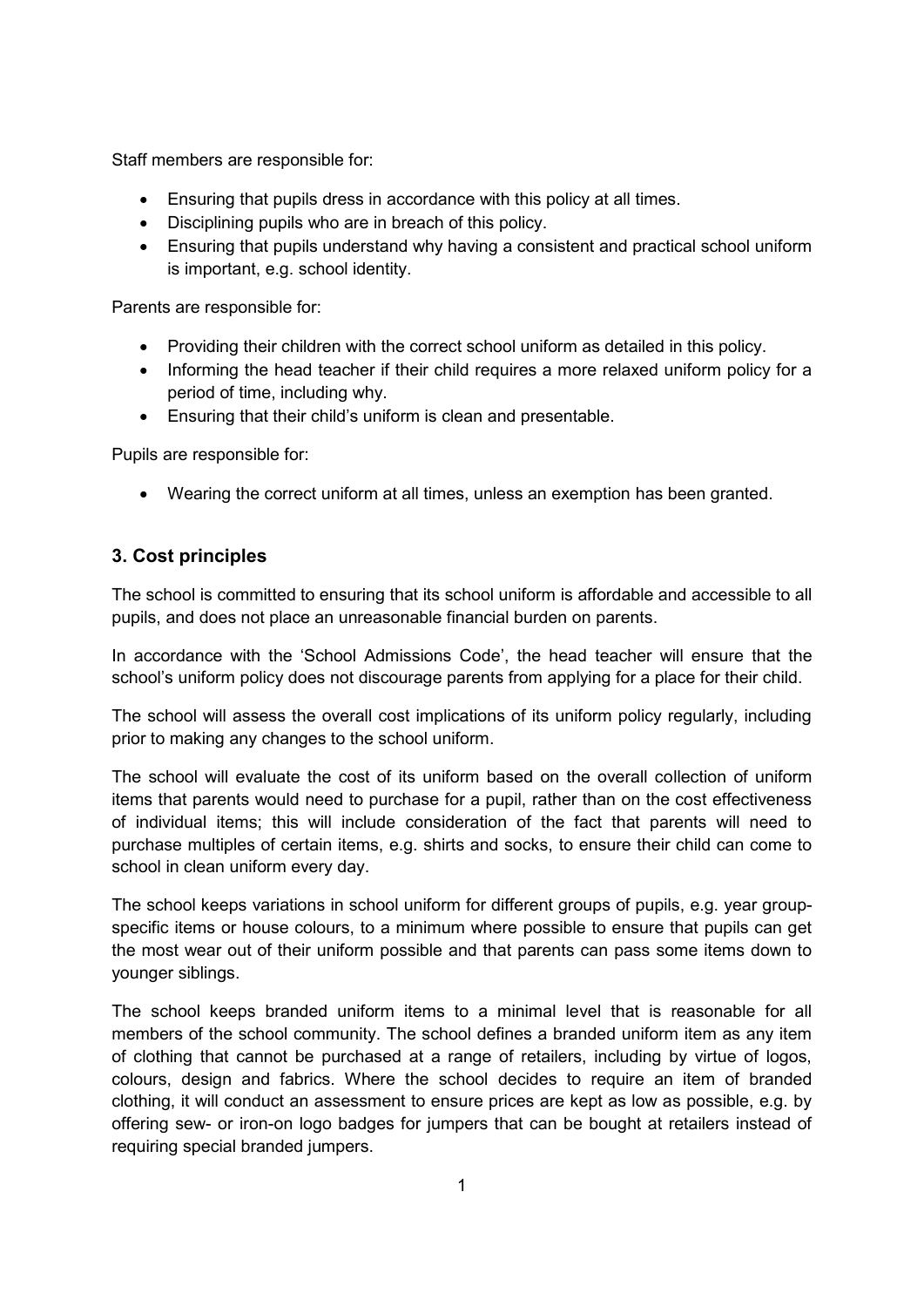Staff members are responsible for:

- Ensuring that pupils dress in accordance with this policy at all times.
- Disciplining pupils who are in breach of this policy.
- Ensuring that pupils understand why having a consistent and practical school uniform is important, e.g. school identity.

Parents are responsible for:

- Providing their children with the correct school uniform as detailed in this policy.
- Informing the head teacher if their child requires a more relaxed uniform policy for a period of time, including why.
- Ensuring that their child's uniform is clean and presentable.

Pupils are responsible for:

Wearing the correct uniform at all times, unless an exemption has been granted.

#### **3. Cost principles**

The school is committed to ensuring that its school uniform is affordable and accessible to all pupils, and does not place an unreasonable financial burden on parents.

In accordance with the 'School Admissions Code', the head teacher will ensure that the school's uniform policy does not discourage parents from applying for a place for their child.

The school will assess the overall cost implications of its uniform policy regularly, including prior to making any changes to the school uniform.

The school will evaluate the cost of its uniform based on the overall collection of uniform items that parents would need to purchase for a pupil, rather than on the cost effectiveness of individual items; this will include consideration of the fact that parents will need to purchase multiples of certain items, e.g. shirts and socks, to ensure their child can come to school in clean uniform every day.

The school keeps variations in school uniform for different groups of pupils, e.g. year groupspecific items or house colours, to a minimum where possible to ensure that pupils can get the most wear out of their uniform possible and that parents can pass some items down to younger siblings.

The school keeps branded uniform items to a minimal level that is reasonable for all members of the school community. The school defines a branded uniform item as any item of clothing that cannot be purchased at a range of retailers, including by virtue of logos, colours, design and fabrics. Where the school decides to require an item of branded clothing, it will conduct an assessment to ensure prices are kept as low as possible, e.g. by offering sew- or iron-on logo badges for jumpers that can be bought at retailers instead of requiring special branded jumpers.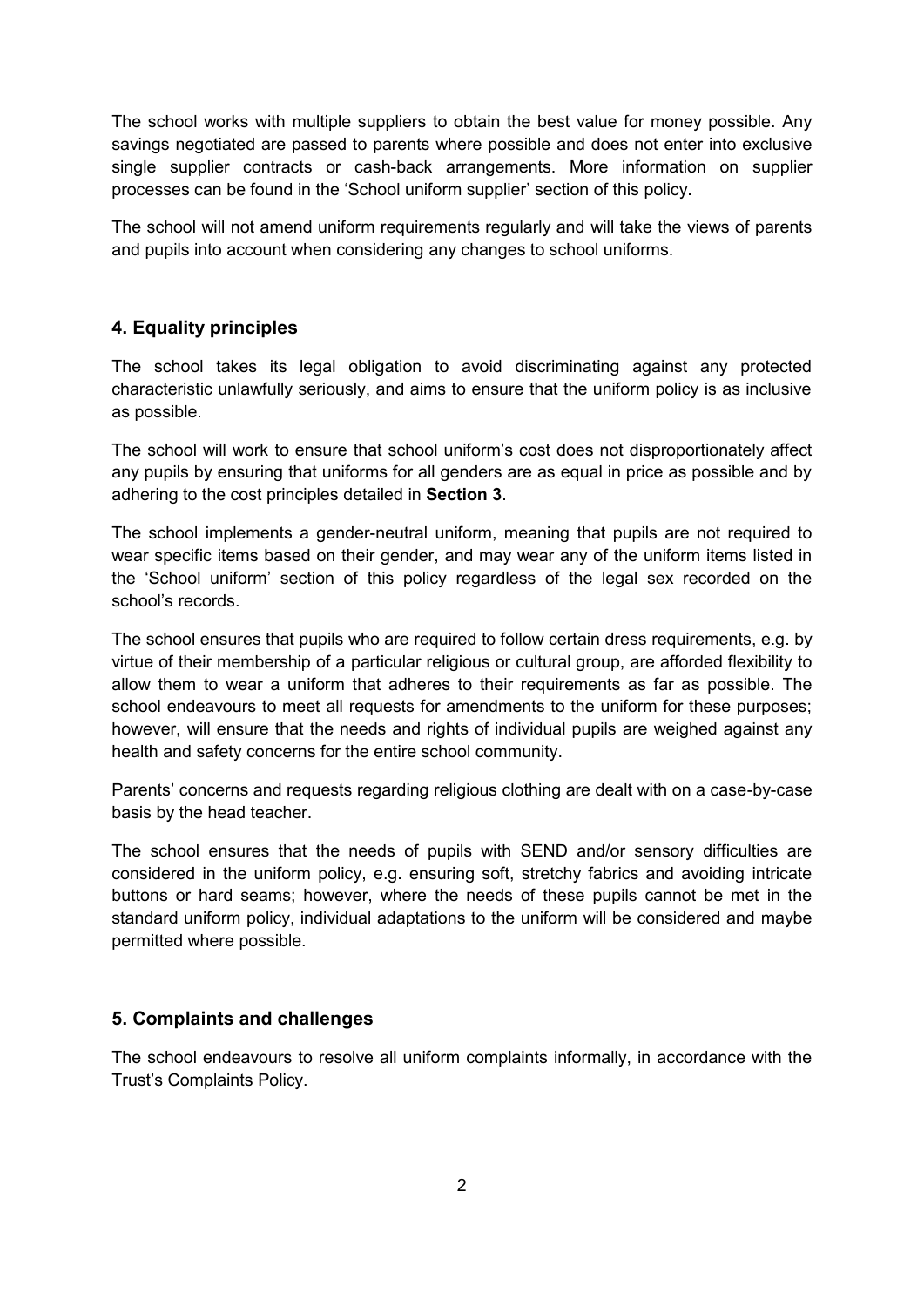The school works with multiple suppliers to obtain the best value for money possible. Any savings negotiated are passed to parents where possible and does not enter into exclusive single supplier contracts or cash-back arrangements. More information on supplier processes can be found in the 'School uniform supplier' section of this policy.

The school will not amend uniform requirements regularly and will take the views of parents and pupils into account when considering any changes to school uniforms.

#### **4. Equality principles**

The school takes its legal obligation to avoid discriminating against any protected characteristic unlawfully seriously, and aims to ensure that the uniform policy is as inclusive as possible.

The school will work to ensure that school uniform's cost does not disproportionately affect any pupils by ensuring that uniforms for all genders are as equal in price as possible and by adhering to the cost principles detailed in **Section 3**.

The school implements a gender-neutral uniform, meaning that pupils are not required to wear specific items based on their gender, and may wear any of the uniform items listed in the 'School uniform' section of this policy regardless of the legal sex recorded on the school's records.

The school ensures that pupils who are required to follow certain dress requirements, e.g. by virtue of their membership of a particular religious or cultural group, are afforded flexibility to allow them to wear a uniform that adheres to their requirements as far as possible. The school endeavours to meet all requests for amendments to the uniform for these purposes; however, will ensure that the needs and rights of individual pupils are weighed against any health and safety concerns for the entire school community.

Parents' concerns and requests regarding religious clothing are dealt with on a case-by-case basis by the head teacher.

The school ensures that the needs of pupils with SEND and/or sensory difficulties are considered in the uniform policy, e.g. ensuring soft, stretchy fabrics and avoiding intricate buttons or hard seams; however, where the needs of these pupils cannot be met in the standard uniform policy, individual adaptations to the uniform will be considered and maybe permitted where possible.

#### **5. Complaints and challenges**

The school endeavours to resolve all uniform complaints informally, in accordance with the Trust's Complaints Policy.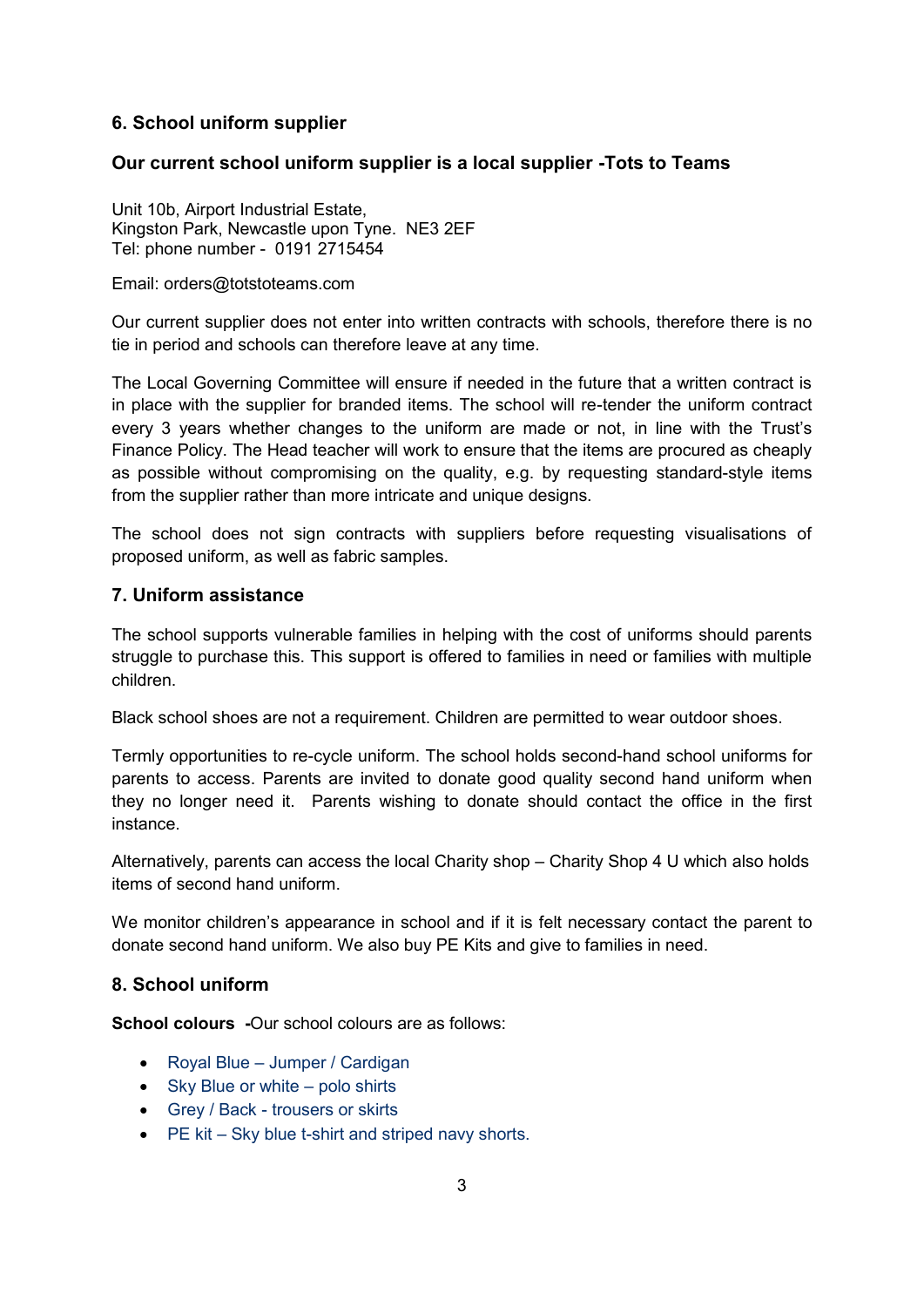#### **6. School uniform supplier**

#### **Our current school uniform supplier is a local supplier -Tots to Teams**

Unit 10b, Airport Industrial Estate, Kingston Park, Newcastle upon Tyne. NE3 2EF Tel: phone number - 0191 2715454

Email: [orders@totstoteams.com](mailto:orders@totstoteams.com) 

Our current supplier does not enter into written contracts with schools, therefore there is no tie in period and schools can therefore leave at any time.

The Local Governing Committee will ensure if needed in the future that a written contract is in place with the supplier for branded items. The school will re-tender the uniform contract every 3 years whether changes to the uniform are made or not, in line with the Trust's Finance Policy. The Head teacher will work to ensure that the items are procured as cheaply as possible without compromising on the quality, e.g. by requesting standard-style items from the supplier rather than more intricate and unique designs.

The school does not sign contracts with suppliers before requesting visualisations of proposed uniform, as well as fabric samples.

#### **7. Uniform assistance**

The school supports vulnerable families in helping with the cost of uniforms should parents struggle to purchase this. This support is offered to families in need or families with multiple children.

Black school shoes are not a requirement. Children are permitted to wear outdoor shoes.

Termly opportunities to re-cycle uniform. The school holds second-hand school uniforms for parents to access. Parents are invited to donate good quality second hand uniform when they no longer need it. Parents wishing to donate should contact the office in the first instance.

Alternatively, parents can access the local Charity shop – Charity Shop 4 U which also holds items of second hand uniform.

We monitor children's appearance in school and if it is felt necessary contact the parent to donate second hand uniform. We also buy PE Kits and give to families in need.

#### **8. School uniform**

**School colours -**Our school colours are as follows:

- Royal Blue Jumper / Cardigan
- Sky Blue or white polo shirts
- Grey / Back trousers or skirts
- PE kit Sky blue t-shirt and striped navy shorts.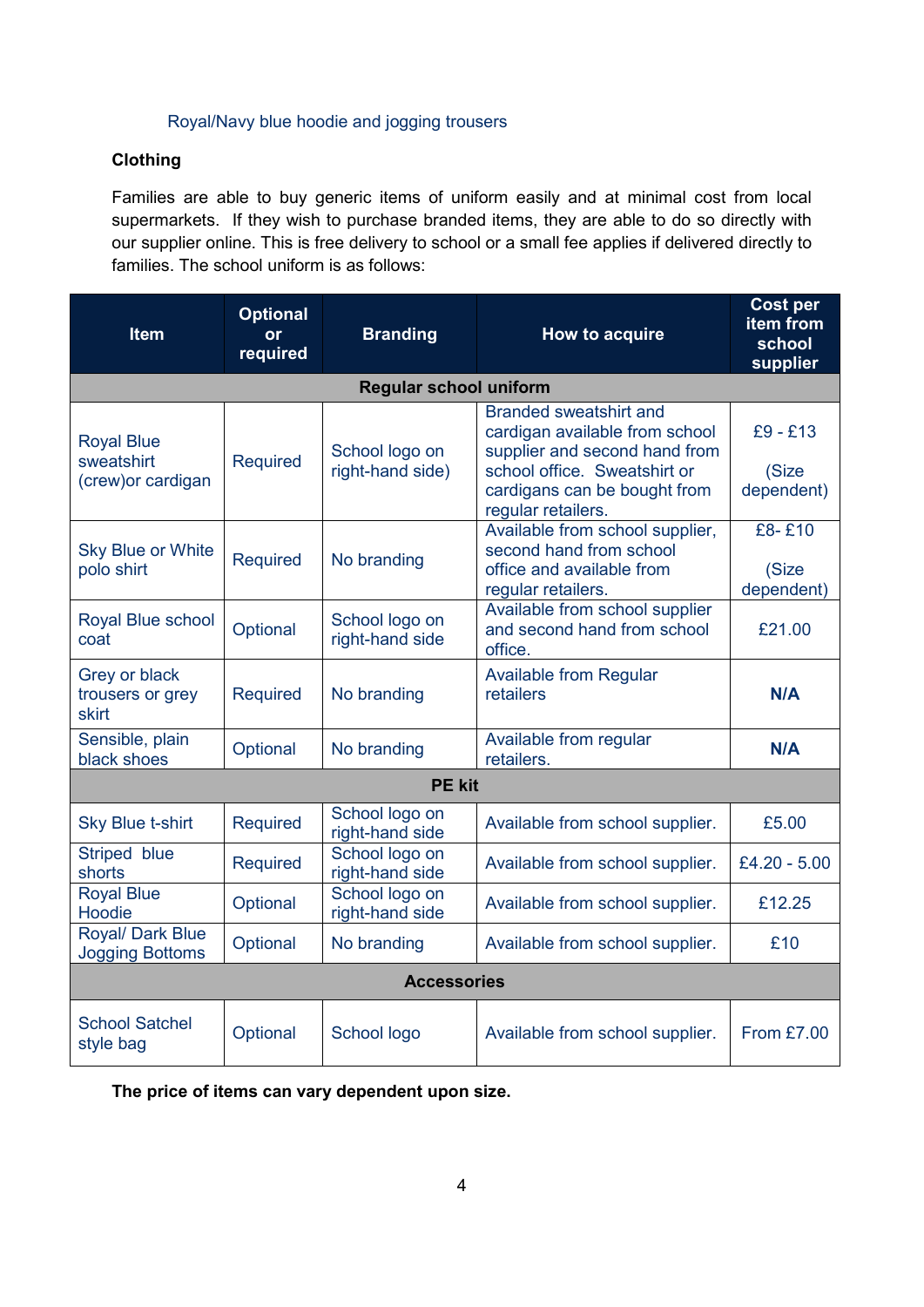#### Royal/Navy blue hoodie and jogging trousers

#### **Clothing**

Families are able to buy generic items of uniform easily and at minimal cost from local supermarkets. If they wish to purchase branded items, they are able to do so directly with our supplier online. This is free delivery to school or a small fee applies if delivered directly to families. The school uniform is as follows:

| <b>Item</b>                                           | <b>Optional</b><br>or<br>required | <b>Branding</b>                    | How to acquire                                                                                                                                                                         | <b>Cost per</b><br>item from<br>school<br>supplier |  |
|-------------------------------------------------------|-----------------------------------|------------------------------------|----------------------------------------------------------------------------------------------------------------------------------------------------------------------------------------|----------------------------------------------------|--|
| <b>Regular school uniform</b>                         |                                   |                                    |                                                                                                                                                                                        |                                                    |  |
| <b>Royal Blue</b><br>sweatshirt<br>(crew) or cardigan | <b>Required</b>                   | School logo on<br>right-hand side) | <b>Branded sweatshirt and</b><br>cardigan available from school<br>supplier and second hand from<br>school office. Sweatshirt or<br>cardigans can be bought from<br>regular retailers. | $£9 - £13$<br>(Size<br>dependent)                  |  |
| <b>Sky Blue or White</b><br>polo shirt                | <b>Required</b>                   | No branding                        | Available from school supplier,<br>second hand from school<br>office and available from<br>regular retailers.                                                                          | £8-£10<br>(Size<br>dependent)                      |  |
| Royal Blue school<br>coat                             | Optional                          | School logo on<br>right-hand side  | Available from school supplier<br>and second hand from school<br>office.                                                                                                               | £21.00                                             |  |
| Grey or black<br>trousers or grey<br>skirt            | <b>Required</b>                   | No branding                        | <b>Available from Regular</b><br>retailers                                                                                                                                             | N/A                                                |  |
| Sensible, plain<br>black shoes                        | Optional                          | No branding                        | Available from regular<br>retailers.                                                                                                                                                   | N/A                                                |  |
| <b>PE kit</b>                                         |                                   |                                    |                                                                                                                                                                                        |                                                    |  |
| <b>Sky Blue t-shirt</b>                               | <b>Required</b>                   | School logo on<br>right-hand side  | Available from school supplier.                                                                                                                                                        | £5.00                                              |  |
| Striped blue<br>shorts                                | <b>Required</b>                   | School logo on<br>right-hand side  | Available from school supplier.                                                                                                                                                        | £4.20 - 5.00                                       |  |
| <b>Royal Blue</b><br>Hoodie                           | Optional                          | School logo on<br>right-hand side  | Available from school supplier.                                                                                                                                                        | £12.25                                             |  |
| Royal/ Dark Blue<br><b>Jogging Bottoms</b>            | Optional                          | No branding                        | Available from school supplier.                                                                                                                                                        | £10                                                |  |
| <b>Accessories</b>                                    |                                   |                                    |                                                                                                                                                                                        |                                                    |  |
| <b>School Satchel</b><br>style bag                    | Optional                          | School logo                        | Available from school supplier.                                                                                                                                                        | <b>From £7.00</b>                                  |  |

**The price of items can vary dependent upon size.**